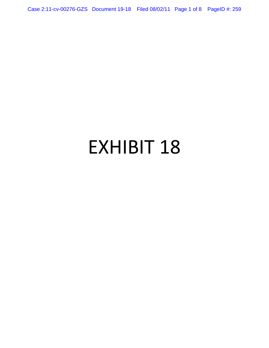Case 2:11-cv-00276-GZS Document 19-18 Filed 08/02/11 Page 1 of 8 PageID #: 259

# EXHIBIT 18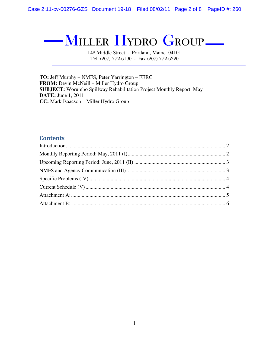— MILLER HYDRO GROUP—

148 Middle Street - Portland, Maine 04101 Tel. (207) 772-6190 - Fax (207) 772-6320

**TO:** Jeff Murphy – NMFS, Peter Yarrington – FERC **FROM:** Devin McNeill – Miller Hydro Group **SUBJECT:** Worumbo Spillway Rehabilitation Project Monthly Report: May **DATE:** June 1, 2011 **CC:** Mark Isaacson – Miller Hydro Group

#### **Contents**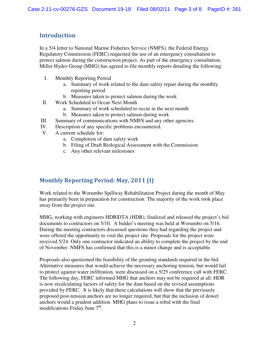#### Introduction

In a 5/4 letter to National Marine Fisheries Service (NMFS), the Federal Energy Regulatory Commission (FERC) requested the use of an emergency consultation to protect salmon during the construction project. As part of the emergency consultation, Miller Hydro Group (MHG) has agreed to file monthly reports detailing the following:

- I. Monthly Reporting Period
	- a. Summary of work related to the dam safety repair during the monthly reporting period
	- b. Measures taken to protect salmon during the work
- II. Work Scheduled to Occur Next Month
	- a. Summary of work scheduled to occur in the next month
	- b. Measures taken to protect salmon during work
- III. Summary of communications with NMFS and any other agencies.
- IV. Description of any specific problems encountered.
- V. A current schedule for:
	- a. Completion of dam safety work
	- b. Filing of Draft Biological Assessment with the Commission
	- c. Any other relevant milestones

## Monthly Reporting Period: May, 2011 (I)

Work related to the Worumbo Spillway Rehabilitation Project during the month of May has primarily been in preparation for construction. The majority of the work took place away from the project site.

MHG, working with engineers HDR|DTA (HDR), finalized and released the project's bid documents to contractors on 5/10. A bidder's meeting was held at Worumbo on 5/16. During the meeting contractors discussed questions they had regarding the project and were offered the opportunity to visit the project site. Proposals for the project were received 5/24. Only one contractor indicated an ability to complete the project by the end of November. NMFS has confirmed that this is a minor change and is acceptable.

Proposals also questioned the feasibility of the grouting standards required in the bid. Alternative measures that would achieve the necessary anchoring tension, but would fail to protect against water infiltration, were discussed on a 5/25 conference call with FERC. The following day, FERC informed MHG that anchors may not be required at all. HDR is now recalculating factors of safety for the dam based on the revised assumptions provided by FERC. It is likely that these calculations will show that the previously proposed post-tension anchors are no longer required, but that the inclusion of dowel anchors would a prudent addition. MHG plans to issue a rebid with the final modifications Friday June  $7<sup>th</sup>$ .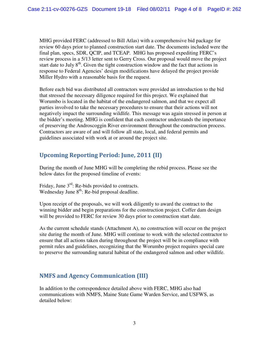MHG provided FERC (addressed to Bill Atlas) with a comprehensive bid package for review 60 days prior to planned construction start date. The documents included were the final plan, specs, SDR, QCIP, and TCEAP. MHG has proposed expediting FERC's review process in a 5/13 letter sent to Gerry Cross. Our proposal would move the project start date to July  $8<sup>th</sup>$ . Given the tight construction window and the fact that actions in response to Federal Agencies' design modifications have delayed the project provide Miller Hydro with a reasonable basis for the request.

Before each bid was distributed all contractors were provided an introduction to the bid that stressed the necessary diligence required for this project. We explained that Worumbo is located in the habitat of the endangered salmon, and that we expect all parties involved to take the necessary procedures to ensure that their actions will not negatively impact the surrounding wildlife. This message was again stressed in person at the bidder's meeting. MHG is confident that each contractor understands the importance of preserving the Androscoggin River environment throughout the construction process. Contractors are aware of and will follow all state, local, and federal permits and guidelines associated with work at or around the project site.

## Upcoming Reporting Period: June, 2011 (II)

During the month of June MHG will be completing the rebid process. Please see the below dates for the proposed timeline of events:

Friday, June 3<sup>rd</sup>: Re-bids provided to contracts. Wednesday June 8<sup>th</sup>: Re-bid proposal deadline.

Upon receipt of the proposals, we will work diligently to award the contract to the winning bidder and begin preparations for the construction project. Coffer dam design will be provided to FERC for review 30 days prior to construction start date.

As the current schedule stands (Attachment A), no construction will occur on the project site during the month of June. MHG will continue to work with the selected contractor to ensure that all actions taken during throughout the project will be in compliance with permit rules and guidelines, recognizing that the Worumbo project requires special care to preserve the surrounding natural habitat of the endangered salmon and other wildlife.

## NMFS and Agency Communication (III)

In addition to the correspondence detailed above with FERC, MHG also had communications with NMFS, Maine State Game Warden Service, and USFWS, as detailed below: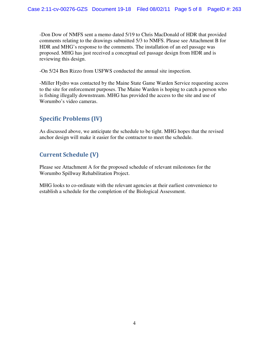-Don Dow of NMFS sent a memo dated 5/19 to Chris MacDonald of HDR that provided comments relating to the drawings submitted 5/3 to NMFS. Please see Attachment B for HDR and MHG's response to the comments. The installation of an eel passage was proposed. MHG has just received a conceptual eel passage design from HDR and is reviewing this design.

-On 5/24 Ben Rizzo from USFWS conducted the annual site inspection.

-Miller Hydro was contacted by the Maine State Game Warden Service requesting access to the site for enforcement purposes. The Maine Warden is hoping to catch a person who is fishing illegally downstream. MHG has provided the access to the site and use of Worumbo's video cameras.

## Specific Problems (IV)

As discussed above, we anticipate the schedule to be tight. MHG hopes that the revised anchor design will make it easier for the contractor to meet the schedule.

## Current Schedule (V)

Please see Attachment A for the proposed schedule of relevant milestones for the Worumbo Spillway Rehabilitation Project.

MHG looks to co-ordinate with the relevant agencies at their earliest convenience to establish a schedule for the completion of the Biological Assessment.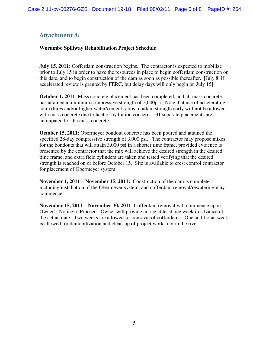## Attachment A:

#### **Worumbo Spillway Rehabilitation Project Schedule**

**July 15, 2011**: Cofferdam construction begins. The contractor is expected to mobilize prior to July 15 in order to have the resources in place to begin cofferdam construction on this date, and to begin construction of the dam as soon as possible thereafter. [July 8, if accelerated review is granted by FERC, but delay days will only begin on July 15]

**October 1, 2011**: Mass concrete placement has been completed, and all mass concrete has attained a minimum compressive strength of 2,000psi. Note that use of accelerating admixtures and/or higher water/cement ratios to attain strength early will not be allowed with mass concrete due to heat of hydration concerns. 31 separate placements are anticipated for the mass concrete.

**October 15, 2011**: Obermeyer bondout concrete has been poured and attained the specified 28-day compressive strength of 3,000 psi. The contractor may propose mixes for the bondouts that will attain 3,000 psi in a shorter time frame, provided evidence is presented by the contractor that the mix will achieve the desired strength in the desired time frame, and extra field cylinders are taken and tested verifying that the desired strength is reached on or before October 15. Site is available to crest control contractor for placement of Obermeyer system.

**November 1, 2011 – November 15, 2011:** Construction of the dam is complete, including installation of the Obermeyer system, and cofferdam removal/rewatering may commence.

**November 15, 2011 – November 30, 2011**: Cofferdam removal will commence upon Owner's Notice to Proceed. Owner will provide notice at least one week in advance of the actual date. Two weeks are allowed for removal of cofferdams. One additional week is allowed for demobilization and clean-up of project works not in the river.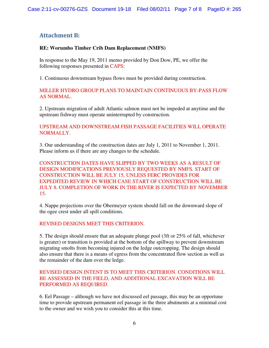## Attachment B:

#### **RE: Worumbo Timber Crib Dam Replacement (NMFS)**

In response to the May 19, 2011 memo provided by Don Dow, PE, we offer the following responses presented in CAPS:

1. Continuous downstream bypass flows must be provided during construction.

MILLER HYDRO GROUP PLANS TO MAINTAIN CONTINUOUS BY-PASS FLOW AS NORMAL.

2. Upstream migration of adult Atlantic salmon must not be impeded at anytime and the upstream fishway must operate uninterrupted by construction.

UPSTREAM AND DOWNSTREAM FISH PASSAGE FACILITIES WILL OPERATE NORMALLY.

3. Our understanding of the construction dates are July 1, 2011 to November 1, 2011. Please inform us if there are any changes to the schedule.

CONSTRUCTION DATES HAVE SLIPPED BY TWO WEEKS AS A RESULT OF DESIGN MODIFICATIONS PREVIOUSLY REQUESTED BY NMFS. START OF CONSTRUCTION WILL BE JULY 15, UNLESS FERC PROVIDES FOR EXPEDITED REVIEW IN WHICH CASE START OF CONSTRUCTION WILL BE JULY 8. COMPLETION OF WORK IN THE RIVER IS EXPECTED BY NOVEMBER 15.

4. Nappe projections over the Obermeyer system should fall on the downward slope of the ogee crest under all spill conditions.

#### REVISED DESIGNS MEET THIS CRITERION.

5. The design should ensure that an adequate plunge pool (3ft or 25% of fall, whichever is greater) or transition is provided at the bottom of the spillway to prevent downstream migrating smolts from becoming injured on the ledge outcropping. The design should also ensure that there is a means of egress from the concentrated flow section as well as the remainder of the dam over the ledge.

#### REVISED DESIGN INTENT IS TO MEET THIS CRITERION. CONDITIONS WILL BE ASSESSED IN THE FIELD, AND ADDITIONAL EXCAVATION WILL BE PERFORMED AS REQUIRED.

6. Eel Passage – although we have not discussed eel passage, this may be an opportune time to provide upstream permanent eel passage in the three abutments at a minimal cost to the owner and we wish you to consider this at this time.